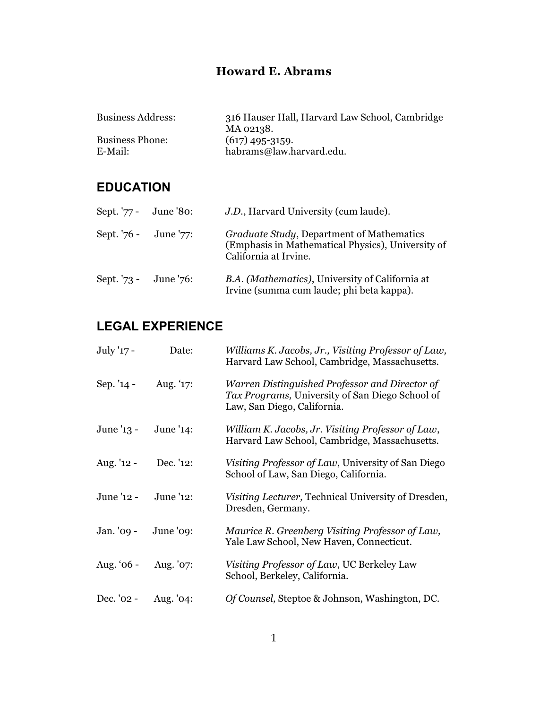### **Howard E. Abrams**

| 316 Hauser Hall, Harvard Law School, Cambridge |
|------------------------------------------------|
| MA 02138.                                      |
| $(617)$ 495-3159.                              |
| habrams@law.harvard.edu.                       |
|                                                |

## **EDUCATION**

| Sept. '77 - June '80:    | J.D., Harvard University (cum laude).                                                                                           |
|--------------------------|---------------------------------------------------------------------------------------------------------------------------------|
| Sept. '76 - June '77:    | <i>Graduate Study</i> , Department of Mathematics<br>(Emphasis in Mathematical Physics), University of<br>California at Irvine. |
| Sept. $73 -$ June $76$ : | B.A. (Mathematics), University of California at<br>Irvine (summa cum laude; phi beta kappa).                                    |

# **LEGAL EXPERIENCE**

| July '17 -  | Date:     | Williams K. Jacobs, Jr., Visiting Professor of Law,<br>Harvard Law School, Cambridge, Massachusetts.                             |
|-------------|-----------|----------------------------------------------------------------------------------------------------------------------------------|
| Sep. '14 -  | Aug. '17: | Warren Distinguished Professor and Director of<br>Tax Programs, University of San Diego School of<br>Law, San Diego, California. |
| June '13 -  | June '14: | William K. Jacobs, Jr. Visiting Professor of Law,<br>Harvard Law School, Cambridge, Massachusetts.                               |
| Aug. '12 -  | Dec. '12: | Visiting Professor of Law, University of San Diego<br>School of Law, San Diego, California.                                      |
| June '12 -  | June '12: | Visiting Lecturer, Technical University of Dresden,<br>Dresden, Germany.                                                         |
| Jan. '09 -  | June '09: | Maurice R. Greenberg Visiting Professor of Law,<br>Yale Law School, New Haven, Connecticut.                                      |
| Aug. $66 -$ | Aug. '07: | Visiting Professor of Law, UC Berkeley Law<br>School, Berkeley, California.                                                      |
| Dec. '02 -  | Aug. '04: | Of Counsel, Steptoe & Johnson, Washington, DC.                                                                                   |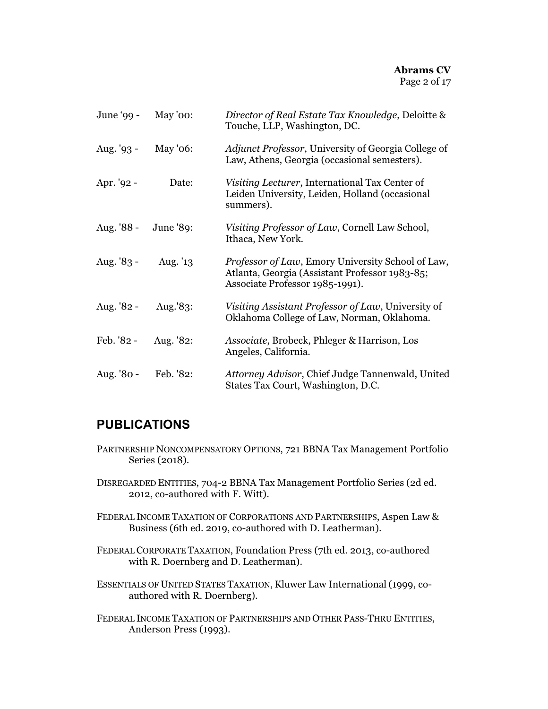| June '99 -   | May '00:  | Director of Real Estate Tax Knowledge, Deloitte &<br>Touche, LLP, Washington, DC.                                                      |
|--------------|-----------|----------------------------------------------------------------------------------------------------------------------------------------|
| Aug. $'93 -$ | May '06:  | Adjunct Professor, University of Georgia College of<br>Law, Athens, Georgia (occasional semesters).                                    |
| Apr. '92 -   | Date:     | Visiting Lecturer, International Tax Center of<br>Leiden University, Leiden, Holland (occasional<br>summers).                          |
| Aug. '88 -   | June '89: | Visiting Professor of Law, Cornell Law School,<br>Ithaca, New York.                                                                    |
| Aug. $83 -$  | Aug. '13  | Professor of Law, Emory University School of Law,<br>Atlanta, Georgia (Assistant Professor 1983-85;<br>Associate Professor 1985-1991). |
| Aug. '82 -   | Aug.'83:  | Visiting Assistant Professor of Law, University of<br>Oklahoma College of Law, Norman, Oklahoma.                                       |
| Feb. '82 -   | Aug. '82: | Associate, Brobeck, Phleger & Harrison, Los<br>Angeles, California.                                                                    |
| Aug. '80 -   | Feb. '82: | Attorney Advisor, Chief Judge Tannenwald, United<br>States Tax Court, Washington, D.C.                                                 |

### **PUBLICATIONS**

- PARTNERSHIP NONCOMPENSATORY OPTIONS, 721 BBNA Tax Management Portfolio Series (2018).
- DISREGARDED ENTITIES, 704-2 BBNA Tax Management Portfolio Series (2d ed. 2012, co-authored with F. Witt).
- FEDERAL INCOME TAXATION OF CORPORATIONS AND PARTNERSHIPS, Aspen Law & Business (6th ed. 2019, co-authored with D. Leatherman).
- FEDERAL CORPORATE TAXATION, Foundation Press (7th ed. 2013, co-authored with R. Doernberg and D. Leatherman).
- ESSENTIALS OF UNITED STATES TAXATION, Kluwer Law International (1999, coauthored with R. Doernberg).
- FEDERAL INCOME TAXATION OF PARTNERSHIPS AND OTHER PASS-THRU ENTITIES, Anderson Press (1993).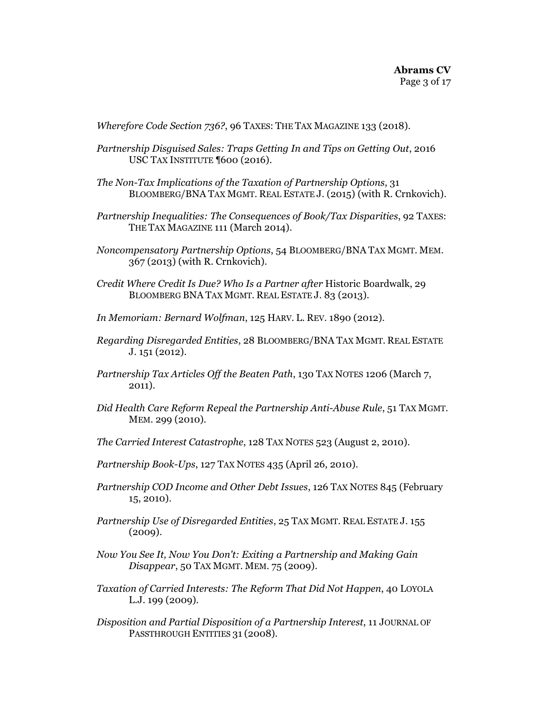*Wherefore Code Section 736?*, 96 TAXES: THE TAX MAGAZINE 133 (2018).

- *Partnership Disguised Sales: Traps Getting In and Tips on Getting Out*, 2016 USC TAX INSTITUTE ¶600 (2016).
- *The Non-Tax Implications of the Taxation of Partnership Options*, 31 BLOOMBERG/BNA TAX MGMT. REAL ESTATE J. (2015) (with R. Crnkovich).
- *Partnership Inequalities: The Consequences of Book/Tax Disparities*, 92 TAXES: THE TAX MAGAZINE 111 (March 2014).
- *Noncompensatory Partnership Options*, 54 BLOOMBERG/BNA TAX MGMT. MEM. 367 (2013) (with R. Crnkovich).
- *Credit Where Credit Is Due? Who Is a Partner after* Historic Boardwalk, 29 BLOOMBERG BNA TAX MGMT. REAL ESTATE J. 83 (2013).
- *In Memoriam: Bernard Wolfman*, 125 HARV. L. REV. 1890 (2012).
- *Regarding Disregarded Entities*, 28 BLOOMBERG/BNA TAX MGMT. REAL ESTATE J. 151 (2012).
- *Partnership Tax Articles Off the Beaten Path*, 130 TAX NOTES 1206 (March 7, 2011).
- *Did Health Care Reform Repeal the Partnership Anti-Abuse Rule*, 51 TAX MGMT. MEM. 299 (2010).
- *The Carried Interest Catastrophe*, 128 TAX NOTES 523 (August 2, 2010).
- *Partnership Book-Ups*, 127 TAX NOTES 435 (April 26, 2010).
- *Partnership COD Income and Other Debt Issues*, 126 TAX NOTES 845 (February 15, 2010).
- *Partnership Use of Disregarded Entities*, 25 TAX MGMT. REAL ESTATE J. 155 (2009).
- *Now You See It, Now You Don't: Exiting a Partnership and Making Gain Disappear*, 50 TAX MGMT. MEM. 75 (2009).
- *Taxation of Carried Interests: The Reform That Did Not Happen*, 40 LOYOLA L.J. 199 (2009).
- *Disposition and Partial Disposition of a Partnership Interest*, 11 JOURNAL OF PASSTHROUGH ENTITIES 31 (2008).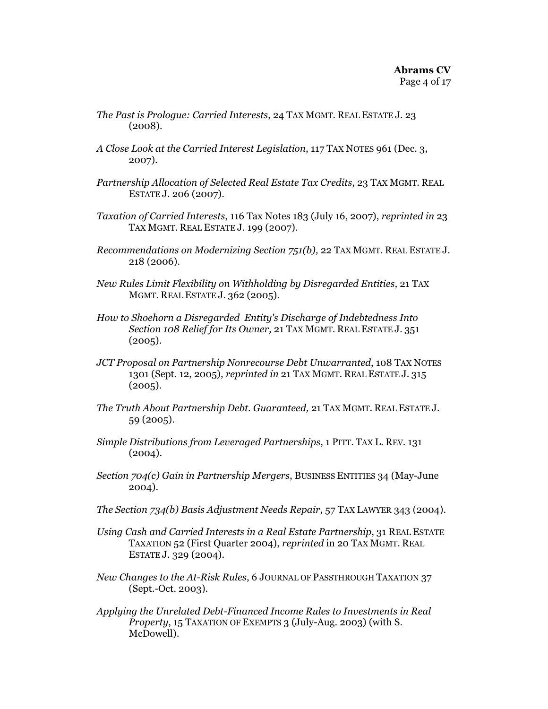- *The Past is Prologue: Carried Interests*, 24 TAX MGMT. REAL ESTATE J. 23 (2008).
- *A Close Look at the Carried Interest Legislation*, 117 TAX NOTES 961 (Dec. 3, 2007).
- *Partnership Allocation of Selected Real Estate Tax Credits*, 23 TAX MGMT. REAL ESTATE J. 206 (2007).
- *Taxation of Carried Interests*, 116 Tax Notes 183 (July 16, 2007), *reprinted in* 23 TAX MGMT. REAL ESTATE J. 199 (2007).
- *Recommendations on Modernizing Section 751(b),* 22 TAX MGMT. REAL ESTATE J. 218 (2006).
- *New Rules Limit Flexibility on Withholding by Disregarded Entities,* 21 TAX MGMT. REAL ESTATE J. 362 (2005).
- *How to Shoehorn a Disregarded Entity's Discharge of Indebtedness Into Section 108 Relief for Its Owner,* 21 TAX MGMT. REAL ESTATE J. 351  $(2005).$
- *JCT Proposal on Partnership Nonrecourse Debt Unwarranted*, 108 TAX NOTES 1301 (Sept. 12, 2005), *reprinted in* 21 TAX MGMT. REAL ESTATE J. 315  $(2005).$
- *The Truth About Partnership Debt. Guaranteed,* 21 TAX MGMT. REAL ESTATE J. 59 (2005).
- *Simple Distributions from Leveraged Partnerships*, 1 PITT. TAX L. REV. 131 (2004).
- *Section 704(c) Gain in Partnership Mergers*, BUSINESS ENTITIES 34 (May-June 2004).
- *The Section 734(b) Basis Adjustment Needs Repair*, 57 TAX LAWYER 343 (2004).
- *Using Cash and Carried Interests in a Real Estate Partnership*, 31 REAL ESTATE TAXATION 52 (First Quarter 2004), *reprinted* in 20 TAX MGMT. REAL ESTATE J. 329 (2004).
- *New Changes to the At-Risk Rules*, 6 JOURNAL OF PASSTHROUGH TAXATION 37 (Sept.-Oct. 2003).
- *Applying the Unrelated Debt-Financed Income Rules to Investments in Real Property*, 15 TAXATION OF EXEMPTS 3 (July-Aug. 2003) (with S. McDowell).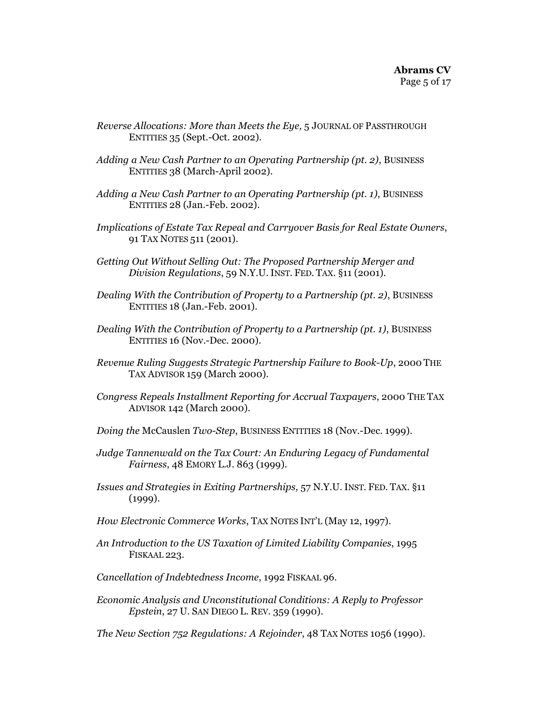- *Reverse Allocations: More than Meets the Eye,* 5 JOURNAL OF PASSTHROUGH ENTITIES 35 (Sept.-Oct. 2002)*.*
- *Adding a New Cash Partner to an Operating Partnership (pt. 2)*, BUSINESS ENTITIES 38 (March-April 2002).
- *Adding a New Cash Partner to an Operating Partnership (pt. 1)*, BUSINESS ENTITIES 28 (Jan.-Feb. 2002).
- *Implications of Estate Tax Repeal and Carryover Basis for Real Estate Owners*, 91 TAX NOTES 511 (2001).
- *Getting Out Without Selling Out: The Proposed Partnership Merger and Division Regulations*, 59 N.Y.U. INST. FED. TAX. §11 (2001).
- *Dealing With the Contribution of Property to a Partnership (pt. 2)*, BUSINESS ENTITIES 18 (Jan.-Feb. 2001).
- *Dealing With the Contribution of Property to a Partnership (pt. 1)*, BUSINESS ENTITIES 16 (Nov.-Dec. 2000).
- *Revenue Ruling Suggests Strategic Partnership Failure to Book-Up*, 2000 THE TAX ADVISOR 159 (March 2000).
- *Congress Repeals Installment Reporting for Accrual Taxpayers*, 2000 THE TAX ADVISOR 142 (March 2000).
- *Doing the* McCauslen *Two-Step*, BUSINESS ENTITIES 18 (Nov.-Dec. 1999).
- *Judge Tannenwald on the Tax Court: An Enduring Legacy of Fundamental Fairness*, 48 EMORY L.J. 863 (1999).
- *Issues and Strategies in Exiting Partnerships,* 57 N.Y.U. INST. FED. TAX. §11 (1999).
- *How Electronic Commerce Works*, TAX NOTES INT'L (May 12, 1997).
- *An Introduction to the US Taxation of Limited Liability Companies*, 1995 FISKAAL 223.
- *Cancellation of Indebtedness Income*, 1992 FISKAAL 96.
- *Economic Analysis and Unconstitutional Conditions: A Reply to Professor Epstein*, 27 U. SAN DIEGO L. REV. 359 (1990).

*The New Section 752 Regulations: A Rejoinder*, 48 TAX NOTES 1056 (1990).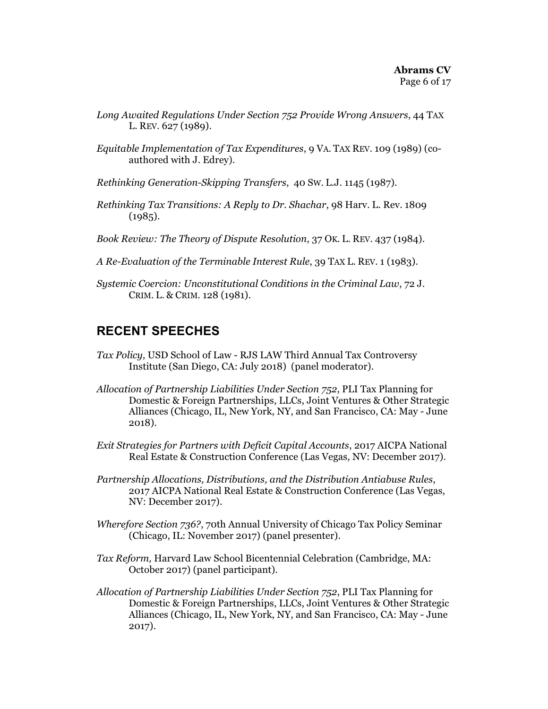- *Long Awaited Regulations Under Section 752 Provide Wrong Answers*, 44 TAX L. REV. 627 (1989).
- *Equitable Implementation of Tax Expenditures*, 9 VA. TAX REV. 109 (1989) (coauthored with J. Edrey).
- *Rethinking Generation-Skipping Transfers*, 40 SW. L.J. 1145 (1987).
- *Rethinking Tax Transitions: A Reply to Dr. Shachar*, 98 Harv. L. Rev. 1809  $(1985).$
- *Book Review: The Theory of Dispute Resolution*, 37 OK. L. REV. 437 (1984).
- *A Re-Evaluation of the Terminable Interest Rule*, 39 TAX L. REV. 1 (1983).
- *Systemic Coercion: Unconstitutional Conditions in the Criminal Law*, 72 J. CRIM. L. & CRIM. 128 (1981).

#### **RECENT SPEECHES**

- *Tax Policy*, USD School of Law RJS LAW Third Annual Tax Controversy Institute (San Diego, CA: July 2018) (panel moderator).
- *Allocation of Partnership Liabilities Under Section 752*, PLI Tax Planning for Domestic & Foreign Partnerships, LLCs, Joint Ventures & Other Strategic Alliances (Chicago, IL, New York, NY, and San Francisco, CA: May - June 2018).
- *Exit Strategies for Partners with Deficit Capital Accounts*, 2017 AICPA National Real Estate & Construction Conference (Las Vegas, NV: December 2017).
- *Partnership Allocations, Distributions, and the Distribution Antiabuse Rules*, 2017 AICPA National Real Estate & Construction Conference (Las Vegas, NV: December 2017).
- *Wherefore Section 736?*, 70th Annual University of Chicago Tax Policy Seminar (Chicago, IL: November 2017) (panel presenter).
- *Tax Reform,* Harvard Law School Bicentennial Celebration (Cambridge, MA: October 2017) (panel participant).
- *Allocation of Partnership Liabilities Under Section 752*, PLI Tax Planning for Domestic & Foreign Partnerships, LLCs, Joint Ventures & Other Strategic Alliances (Chicago, IL, New York, NY, and San Francisco, CA: May - June 2017).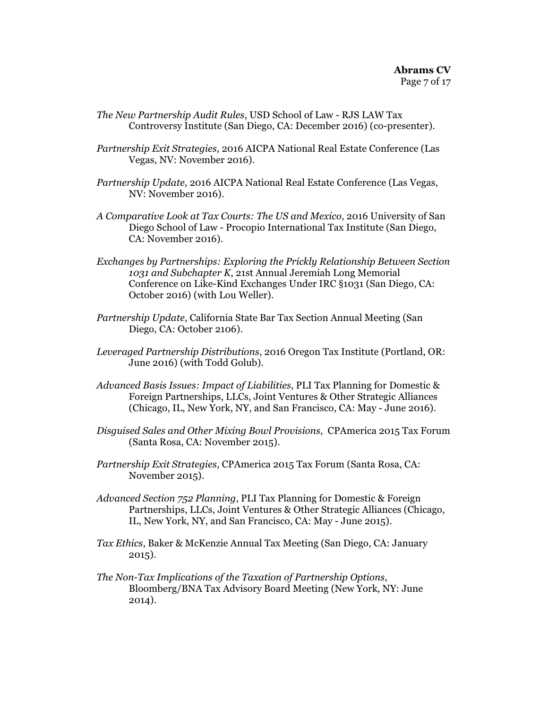- *The New Partnership Audit Rules*, USD School of Law RJS LAW Tax Controversy Institute (San Diego, CA: December 2016) (co-presenter).
- *Partnership Exit Strategies*, 2016 AICPA National Real Estate Conference (Las Vegas, NV: November 2016).
- *Partnership Update*, 2016 AICPA National Real Estate Conference (Las Vegas, NV: November 2016).
- *A Comparative Look at Tax Courts: The US and Mexico*, 2016 University of San Diego School of Law - Procopio International Tax Institute (San Diego, CA: November 2016).
- *Exchanges by Partnerships: Exploring the Prickly Relationship Between Section 1031 and Subchapter K*, 21st Annual Jeremiah Long Memorial Conference on Like-Kind Exchanges Under IRC §1031 (San Diego, CA: October 2016) (with Lou Weller).
- *Partnership Update*, California State Bar Tax Section Annual Meeting (San Diego, CA: October 2106).
- *Leveraged Partnership Distributions*, 2016 Oregon Tax Institute (Portland, OR: June 2016) (with Todd Golub).
- *Advanced Basis Issues: Impact of Liabilities*, PLI Tax Planning for Domestic & Foreign Partnerships, LLCs, Joint Ventures & Other Strategic Alliances (Chicago, IL, New York, NY, and San Francisco, CA: May - June 2016).
- *Disguised Sales and Other Mixing Bowl Provisions*, CPAmerica 2015 Tax Forum (Santa Rosa, CA: November 2015).
- *Partnership Exit Strategies*, CPAmerica 2015 Tax Forum (Santa Rosa, CA: November 2015).
- *Advanced Section 752 Planning*, PLI Tax Planning for Domestic & Foreign Partnerships, LLCs, Joint Ventures & Other Strategic Alliances (Chicago, IL, New York, NY, and San Francisco, CA: May - June 2015).
- *Tax Ethics*, Baker & McKenzie Annual Tax Meeting (San Diego, CA: January 2015).
- *The Non-Tax Implications of the Taxation of Partnership Options*, Bloomberg/BNA Tax Advisory Board Meeting (New York, NY: June 2014).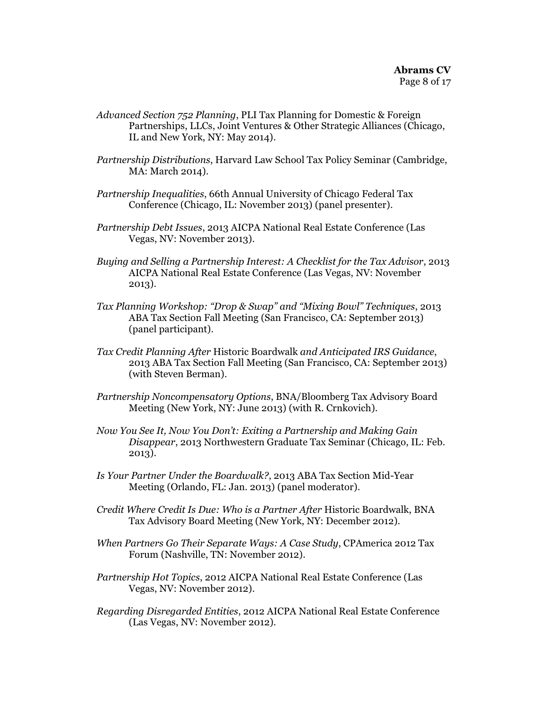- *Advanced Section 752 Planning*, PLI Tax Planning for Domestic & Foreign Partnerships, LLCs, Joint Ventures & Other Strategic Alliances (Chicago, IL and New York, NY: May 2014).
- *Partnership Distributions*, Harvard Law School Tax Policy Seminar (Cambridge, MA: March 2014).
- *Partnership Inequalities*, 66th Annual University of Chicago Federal Tax Conference (Chicago, IL: November 2013) (panel presenter).
- *Partnership Debt Issues*, 2013 AICPA National Real Estate Conference (Las Vegas, NV: November 2013).
- *Buying and Selling a Partnership Interest: A Checklist for the Tax Advisor*, 2013 AICPA National Real Estate Conference (Las Vegas, NV: November 2013).
- *Tax Planning Workshop: "Drop & Swap" and "Mixing Bowl" Techniques*, 2013 ABA Tax Section Fall Meeting (San Francisco, CA: September 2013) (panel participant).
- *Tax Credit Planning After* Historic Boardwalk *and Anticipated IRS Guidance*, 2013 ABA Tax Section Fall Meeting (San Francisco, CA: September 2013) (with Steven Berman).
- *Partnership Noncompensatory Options*, BNA/Bloomberg Tax Advisory Board Meeting (New York, NY: June 2013) (with R. Crnkovich).
- *Now You See It, Now You Don't: Exiting a Partnership and Making Gain Disappear*, 2013 Northwestern Graduate Tax Seminar (Chicago, IL: Feb. 2013).
- *Is Your Partner Under the Boardwalk?*, 2013 ABA Tax Section Mid-Year Meeting (Orlando, FL: Jan. 2013) (panel moderator).
- *Credit Where Credit Is Due: Who is a Partner After* Historic Boardwalk, BNA Tax Advisory Board Meeting (New York, NY: December 2012).
- *When Partners Go Their Separate Ways: A Case Study*, CPAmerica 2012 Tax Forum (Nashville, TN: November 2012).
- *Partnership Hot Topics*, 2012 AICPA National Real Estate Conference (Las Vegas, NV: November 2012).
- *Regarding Disregarded Entities*, 2012 AICPA National Real Estate Conference (Las Vegas, NV: November 2012).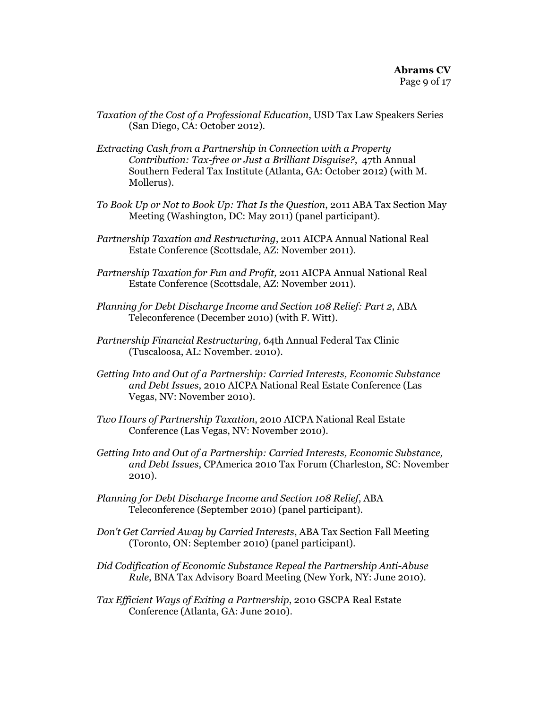- *Taxation of the Cost of a Professional Education*, USD Tax Law Speakers Series (San Diego, CA: October 2012).
- *Extracting Cash from a Partnership in Connection with a Property Contribution: Tax-free or Just a Brilliant Disguise?*, 47th Annual Southern Federal Tax Institute (Atlanta, GA: October 2012) (with M. Mollerus).
- *To Book Up or Not to Book Up: That Is the Question*, 2011 ABA Tax Section May Meeting (Washington, DC: May 2011) (panel participant).
- *Partnership Taxation and Restructuring*, 2011 AICPA Annual National Real Estate Conference (Scottsdale, AZ: November 2011).
- *Partnership Taxation for Fun and Profit,* 2011 AICPA Annual National Real Estate Conference (Scottsdale, AZ: November 2011).
- *Planning for Debt Discharge Income and Section 108 Relief: Part 2*, ABA Teleconference (December 2010) (with F. Witt).
- *Partnership Financial Restructuring,* 64th Annual Federal Tax Clinic (Tuscaloosa, AL: November. 2010).
- *Getting Into and Out of a Partnership: Carried Interests, Economic Substance and Debt Issues*, 2010 AICPA National Real Estate Conference (Las Vegas, NV: November 2010).
- *Two Hours of Partnership Taxation*, 2010 AICPA National Real Estate Conference (Las Vegas, NV: November 2010).
- *Getting Into and Out of a Partnership: Carried Interests, Economic Substance, and Debt Issues*, CPAmerica 2010 Tax Forum (Charleston, SC: November 2010).
- *Planning for Debt Discharge Income and Section 108 Relief*, ABA Teleconference (September 2010) (panel participant).
- *Don't Get Carried Away by Carried Interests*, ABA Tax Section Fall Meeting (Toronto, ON: September 2010) (panel participant).
- *Did Codification of Economic Substance Repeal the Partnership Anti-Abuse Rule*, BNA Tax Advisory Board Meeting (New York, NY: June 2010).
- *Tax Efficient Ways of Exiting a Partnership*, 2010 GSCPA Real Estate Conference (Atlanta, GA: June 2010).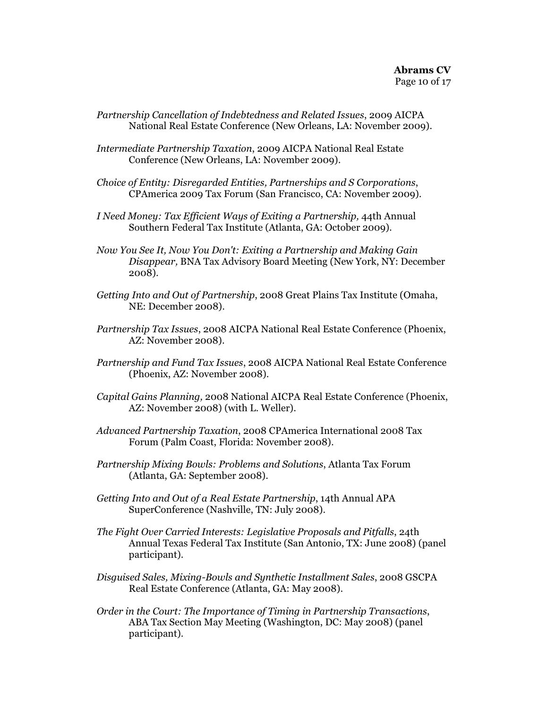- *Partnership Cancellation of Indebtedness and Related Issues*, 2009 AICPA National Real Estate Conference (New Orleans, LA: November 2009).
- *Intermediate Partnership Taxation*, 2009 AICPA National Real Estate Conference (New Orleans, LA: November 2009).
- *Choice of Entity: Disregarded Entities, Partnerships and S Corporations*, CPAmerica 2009 Tax Forum (San Francisco, CA: November 2009).
- *I Need Money: Tax Efficient Ways of Exiting a Partnership,* 44th Annual Southern Federal Tax Institute (Atlanta, GA: October 2009).
- *Now You See It, Now You Don't: Exiting a Partnership and Making Gain Disappear,* BNA Tax Advisory Board Meeting (New York, NY: December 2008).
- *Getting Into and Out of Partnership*, 2008 Great Plains Tax Institute (Omaha, NE: December 2008).
- *Partnership Tax Issues*, 2008 AICPA National Real Estate Conference (Phoenix, AZ: November 2008).
- *Partnership and Fund Tax Issues*, 2008 AICPA National Real Estate Conference (Phoenix, AZ: November 2008).
- *Capital Gains Planning,* 2008 National AICPA Real Estate Conference (Phoenix, AZ: November 2008) (with L. Weller).
- *Advanced Partnership Taxation*, 2008 CPAmerica International 2008 Tax Forum (Palm Coast, Florida: November 2008).
- *Partnership Mixing Bowls: Problems and Solutions*, Atlanta Tax Forum (Atlanta, GA: September 2008).
- *Getting Into and Out of a Real Estate Partnership*, 14th Annual APA SuperConference (Nashville, TN: July 2008).
- *The Fight Over Carried Interests: Legislative Proposals and Pitfalls*, 24th Annual Texas Federal Tax Institute (San Antonio, TX: June 2008) (panel participant).
- *Disguised Sales, Mixing-Bowls and Synthetic Installment Sales*, 2008 GSCPA Real Estate Conference (Atlanta, GA: May 2008).
- *Order in the Court: The Importance of Timing in Partnership Transactions*, ABA Tax Section May Meeting (Washington, DC: May 2008) (panel participant).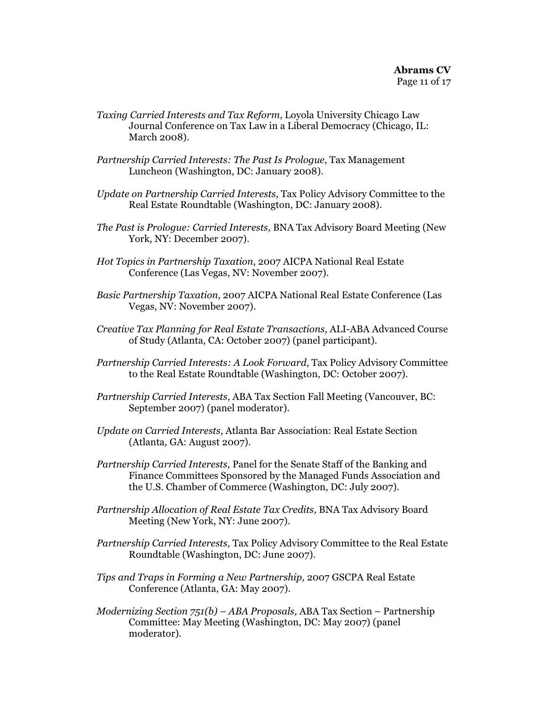- *Taxing Carried Interests and Tax Reform*, Loyola University Chicago Law Journal Conference on Tax Law in a Liberal Democracy (Chicago, IL: March 2008).
- *Partnership Carried Interests: The Past Is Prologue*, Tax Management Luncheon (Washington, DC: January 2008).
- *Update on Partnership Carried Interests*, Tax Policy Advisory Committee to the Real Estate Roundtable (Washington, DC: January 2008).
- *The Past is Prologue: Carried Interests,* BNA Tax Advisory Board Meeting (New York, NY: December 2007).
- *Hot Topics in Partnership Taxation*, 2007 AICPA National Real Estate Conference (Las Vegas, NV: November 2007).
- *Basic Partnership Taxation*, 2007 AICPA National Real Estate Conference (Las Vegas, NV: November 2007).
- *Creative Tax Planning for Real Estate Transactions*, ALI-ABA Advanced Course of Study (Atlanta, CA: October 2007) (panel participant).
- *Partnership Carried Interests: A Look Forward*, Tax Policy Advisory Committee to the Real Estate Roundtable (Washington, DC: October 2007).
- *Partnership Carried Interests*, ABA Tax Section Fall Meeting (Vancouver, BC: September 2007) (panel moderator).
- *Update on Carried Interests*, Atlanta Bar Association: Real Estate Section (Atlanta, GA: August 2007).
- *Partnership Carried Interests,* Panel for the Senate Staff of the Banking and Finance Committees Sponsored by the Managed Funds Association and the U.S. Chamber of Commerce (Washington, DC: July 2007).
- *Partnership Allocation of Real Estate Tax Credits,* BNA Tax Advisory Board Meeting (New York, NY: June 2007).
- *Partnership Carried Interests,* Tax Policy Advisory Committee to the Real Estate Roundtable (Washington, DC: June 2007).
- *Tips and Traps in Forming a New Partnership,* 2007 GSCPA Real Estate Conference (Atlanta, GA: May 2007).
- *Modernizing Section 751(b) ABA Proposals,* ABA Tax Section Partnership Committee: May Meeting (Washington, DC: May 2007) (panel moderator).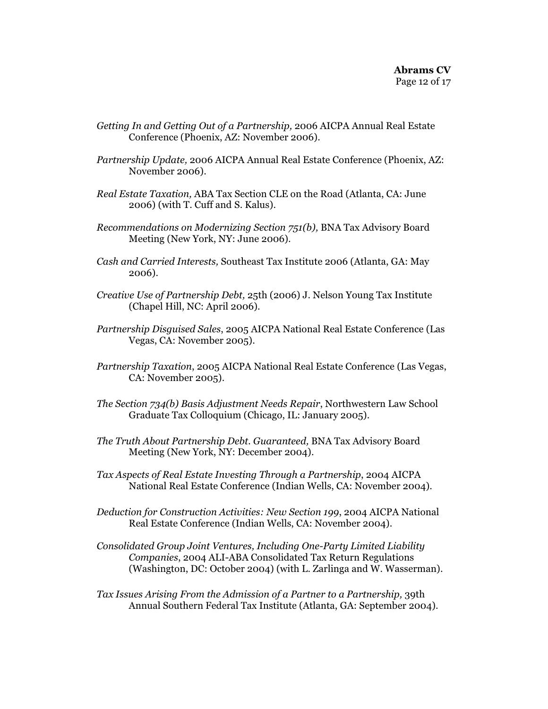- *Getting In and Getting Out of a Partnership,* 2006 AICPA Annual Real Estate Conference (Phoenix, AZ: November 2006).
- *Partnership Update,* 2006 AICPA Annual Real Estate Conference (Phoenix, AZ: November 2006).
- *Real Estate Taxation,* ABA Tax Section CLE on the Road (Atlanta, CA: June 2006) (with T. Cuff and S. Kalus).
- *Recommendations on Modernizing Section 751(b),* BNA Tax Advisory Board Meeting (New York, NY: June 2006).
- *Cash and Carried Interests,* Southeast Tax Institute 2006 (Atlanta, GA: May 2006).
- *Creative Use of Partnership Debt,* 25th (2006) J. Nelson Young Tax Institute (Chapel Hill, NC: April 2006).
- *Partnership Disguised Sales*, 2005 AICPA National Real Estate Conference (Las Vegas, CA: November 2005).
- *Partnership Taxation*, 2005 AICPA National Real Estate Conference (Las Vegas, CA: November 2005).
- *The Section 734(b) Basis Adjustment Needs Repair*, Northwestern Law School Graduate Tax Colloquium (Chicago, IL: January 2005).
- *The Truth About Partnership Debt. Guaranteed,* BNA Tax Advisory Board Meeting (New York, NY: December 2004).
- *Tax Aspects of Real Estate Investing Through a Partnership*, 2004 AICPA National Real Estate Conference (Indian Wells, CA: November 2004).
- *Deduction for Construction Activities: New Section 199*, 2004 AICPA National Real Estate Conference (Indian Wells, CA: November 2004).
- *Consolidated Group Joint Ventures, Including One-Party Limited Liability Companies*, 2004 ALI-ABA Consolidated Tax Return Regulations (Washington, DC: October 2004) (with L. Zarlinga and W. Wasserman).
- *Tax Issues Arising From the Admission of a Partner to a Partnership,* 39th Annual Southern Federal Tax Institute (Atlanta, GA: September 2004).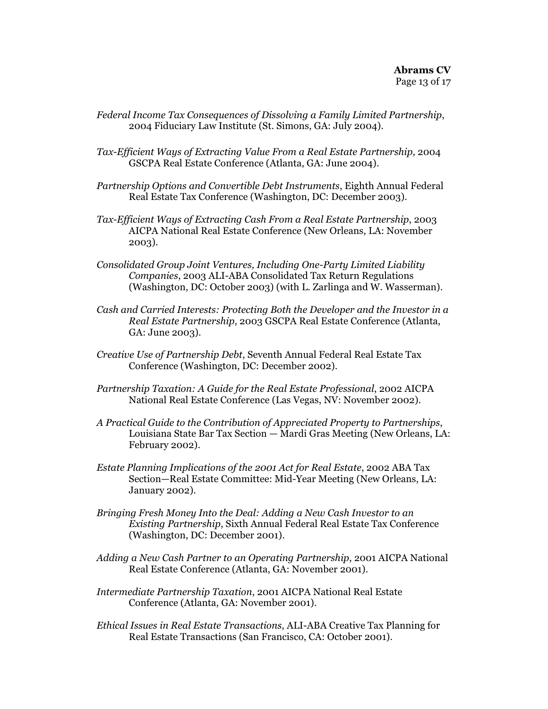- *Federal Income Tax Consequences of Dissolving a Family Limited Partnership*, 2004 Fiduciary Law Institute (St. Simons, GA: July 2004).
- *Tax-Efficient Ways of Extracting Value From a Real Estate Partnership,* 2004 GSCPA Real Estate Conference (Atlanta, GA: June 2004).
- *Partnership Options and Convertible Debt Instruments*, Eighth Annual Federal Real Estate Tax Conference (Washington, DC: December 2003).
- *Tax-Efficient Ways of Extracting Cash From a Real Estate Partnership*, 2003 AICPA National Real Estate Conference (New Orleans, LA: November 2003).
- *Consolidated Group Joint Ventures, Including One-Party Limited Liability Companies*, 2003 ALI-ABA Consolidated Tax Return Regulations (Washington, DC: October 2003) (with L. Zarlinga and W. Wasserman).
- *Cash and Carried Interests: Protecting Both the Developer and the Investor in a Real Estate Partnership*, 2003 GSCPA Real Estate Conference (Atlanta, GA: June 2003).
- *Creative Use of Partnership Debt*, Seventh Annual Federal Real Estate Tax Conference (Washington, DC: December 2002).
- *Partnership Taxation: A Guide for the Real Estate Professional*, 2002 AICPA National Real Estate Conference (Las Vegas, NV: November 2002).
- *A Practical Guide to the Contribution of Appreciated Property to Partnerships*, Louisiana State Bar Tax Section — Mardi Gras Meeting (New Orleans, LA: February 2002).
- *Estate Planning Implications of the 2001 Act for Real Estate*, 2002 ABA Tax Section—Real Estate Committee: Mid-Year Meeting (New Orleans, LA: January 2002).
- *Bringing Fresh Money Into the Deal: Adding a New Cash Investor to an Existing Partnership*, Sixth Annual Federal Real Estate Tax Conference (Washington, DC: December 2001).
- *Adding a New Cash Partner to an Operating Partnership*, 2001 AICPA National Real Estate Conference (Atlanta, GA: November 2001).
- *Intermediate Partnership Taxation*, 2001 AICPA National Real Estate Conference (Atlanta, GA: November 2001).
- *Ethical Issues in Real Estate Transactions*, ALI-ABA Creative Tax Planning for Real Estate Transactions (San Francisco, CA: October 2001).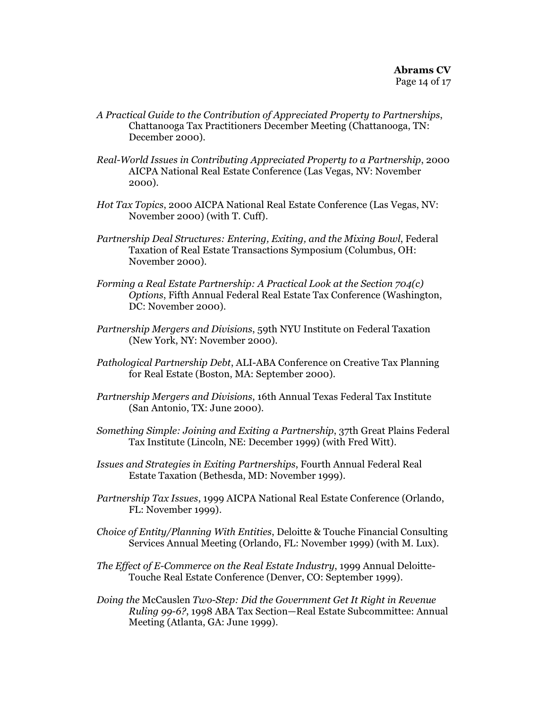- *A Practical Guide to the Contribution of Appreciated Property to Partnerships*, Chattanooga Tax Practitioners December Meeting (Chattanooga, TN: December 2000).
- *Real-World Issues in Contributing Appreciated Property to a Partnership*, 2000 AICPA National Real Estate Conference (Las Vegas, NV: November 2000).
- *Hot Tax Topics*, 2000 AICPA National Real Estate Conference (Las Vegas, NV: November 2000) (with T. Cuff).
- *Partnership Deal Structures: Entering, Exiting, and the Mixing Bowl*, Federal Taxation of Real Estate Transactions Symposium (Columbus, OH: November 2000).
- *Forming a Real Estate Partnership: A Practical Look at the Section 704(c) Options*, Fifth Annual Federal Real Estate Tax Conference (Washington, DC: November 2000).
- *Partnership Mergers and Divisions*, 59th NYU Institute on Federal Taxation (New York, NY: November 2000).
- *Pathological Partnership Debt*, ALI-ABA Conference on Creative Tax Planning for Real Estate (Boston, MA: September 2000).
- *Partnership Mergers and Divisions*, 16th Annual Texas Federal Tax Institute (San Antonio, TX: June 2000).
- *Something Simple: Joining and Exiting a Partnership*, 37th Great Plains Federal Tax Institute (Lincoln, NE: December 1999) (with Fred Witt).
- *Issues and Strategies in Exiting Partnerships*, Fourth Annual Federal Real Estate Taxation (Bethesda, MD: November 1999).
- *Partnership Tax Issues*, 1999 AICPA National Real Estate Conference (Orlando, FL: November 1999).
- *Choice of Entity/Planning With Entities*, Deloitte & Touche Financial Consulting Services Annual Meeting (Orlando, FL: November 1999) (with M. Lux).
- *The Effect of E-Commerce on the Real Estate Industry*, 1999 Annual Deloitte-Touche Real Estate Conference (Denver, CO: September 1999).
- *Doing the* McCauslen *Two-Step: Did the Government Get It Right in Revenue Ruling 99-6?*, 1998 ABA Tax Section—Real Estate Subcommittee: Annual Meeting (Atlanta, GA: June 1999).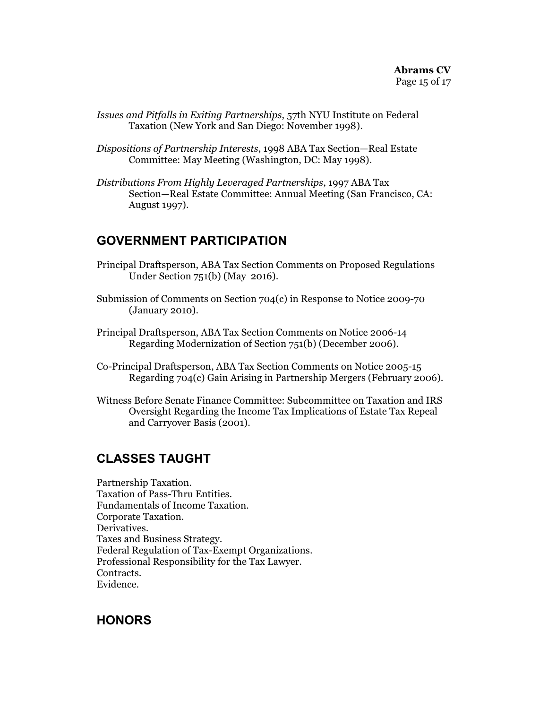- *Issues and Pitfalls in Exiting Partnerships*, 57th NYU Institute on Federal Taxation (New York and San Diego: November 1998).
- *Dispositions of Partnership Interests*, 1998 ABA Tax Section—Real Estate Committee: May Meeting (Washington, DC: May 1998).
- *Distributions From Highly Leveraged Partnerships*, 1997 ABA Tax Section—Real Estate Committee: Annual Meeting (San Francisco, CA: August 1997).

#### **GOVERNMENT PARTICIPATION**

- Principal Draftsperson, ABA Tax Section Comments on Proposed Regulations Under Section 751(b) (May 2016).
- Submission of Comments on Section 704(c) in Response to Notice 2009-70 (January 2010).
- Principal Draftsperson, ABA Tax Section Comments on Notice 2006-14 Regarding Modernization of Section 751(b) (December 2006).
- Co-Principal Draftsperson, ABA Tax Section Comments on Notice 2005-15 Regarding 704(c) Gain Arising in Partnership Mergers (February 2006).
- Witness Before Senate Finance Committee: Subcommittee on Taxation and IRS Oversight Regarding the Income Tax Implications of Estate Tax Repeal and Carryover Basis (2001).

### **CLASSES TAUGHT**

Partnership Taxation. Taxation of Pass-Thru Entities. Fundamentals of Income Taxation. Corporate Taxation. Derivatives. Taxes and Business Strategy. Federal Regulation of Tax-Exempt Organizations. Professional Responsibility for the Tax Lawyer. Contracts. Evidence.

#### **HONORS**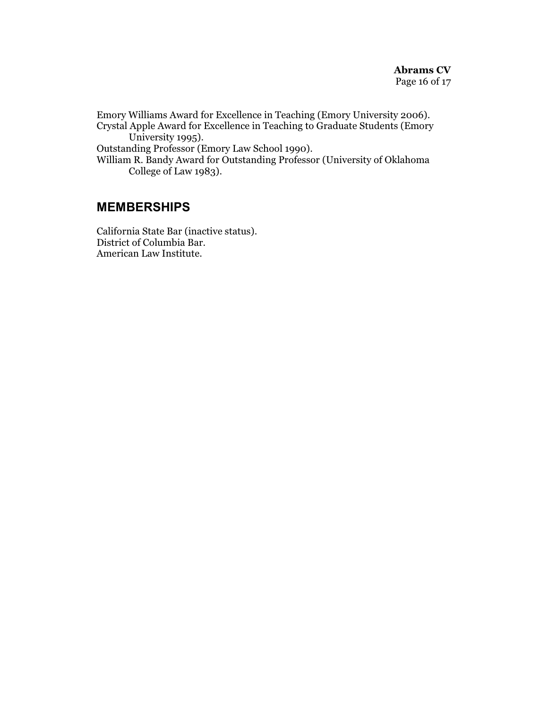Emory Williams Award for Excellence in Teaching (Emory University 2006). Crystal Apple Award for Excellence in Teaching to Graduate Students (Emory University 1995).

Outstanding Professor (Emory Law School 1990).

William R. Bandy Award for Outstanding Professor (University of Oklahoma College of Law 1983).

#### **MEMBERSHIPS**

California State Bar (inactive status). District of Columbia Bar. American Law Institute.